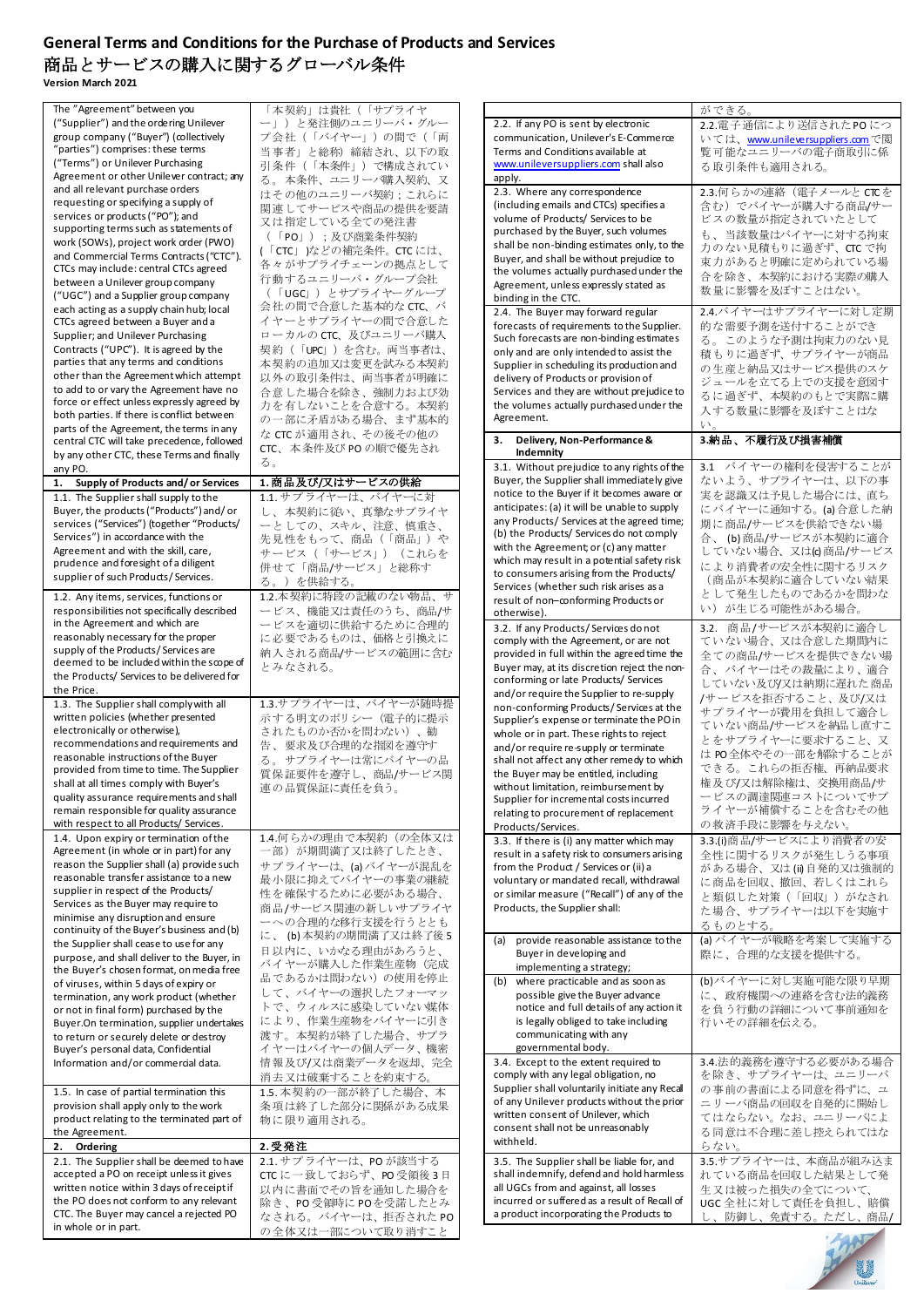## **General Terms and Conditions for the Purchase of Products and Services** 商品とサービスの購入に関するグローバル条件

**Version March 2021**

| The "Agreement" between you                                     | 「本契約」は貴社(「サプライヤ                           |                                                                                       | ができる。                                    |
|-----------------------------------------------------------------|-------------------------------------------|---------------------------------------------------------------------------------------|------------------------------------------|
| ("Supplier") and the ordering Unilever                          | ー」)と発注側のユニリーバ・グルー                         | 2.2. If any PO is sent by electronic                                                  | 2.2.電子通信により送信されたPOにつ                     |
| group company ("Buyer") (collectively                           | プ会社(「バイヤー」)の間で(「両                         | communication, Unilever's E-Commerce                                                  | いては、 <u>www.unileversuppliers.com</u> で閲 |
| "parties") comprises: these terms                               | 当事者」と総称)締結され、以下の取                         | Terms and Conditions available at                                                     | 覧可能なユニリーバの電子商取引に係                        |
| ("Terms") or Unilever Purchasing                                | 引条件(「本条件」)で構成されてい                         | www.unileversuppliers.com shall also                                                  | る 取引条件も適用される。                            |
| Agreement or other Unilever contract; any                       | る。本条件、ユニリーパ購入契約、又                         | apply.                                                                                |                                          |
| and all relevant purchase orders                                | はその他のユニリーバ契約;これらに                         | 2.3. Where any correspondence                                                         | 2.3.何らかの連絡 (電子メールと CTCを                  |
| requesting or specifying a supply of                            | 関連 してサービスや商品の提供を要請                        | (including emails and CTCs) specifies a                                               | 含む)でバイヤーが購入する商品/サー                       |
| services or products ("PO"); and                                | 又は指定している全ての発注書                            | volume of Products/ Services to be                                                    | ビスの数量が指定されていたとして                         |
| supporting terms such as statements of                          |                                           | purchased by the Buyer, such volumes                                                  | も、当該数量はバイヤーに対する拘束                        |
| work (SOWs), project work order (PWO)                           | (「PO」);及び商業条件契約                           | shall be non-binding estimates only, to the                                           | 力のない見積もりに過ぎず、CTC で拘                      |
| and Commercial Terms Contracts ("CTC").                         | (「CTC」)などの補完条件。CTCには、                     | Buyer, and shall be without prejudice to                                              |                                          |
| CTCs may include: central CTCs agreed                           | 各々がサプライチェーンの拠点として                         | the volumes actually purchased under the                                              | 束力があると明確に定められている場                        |
| between a Unilever group company                                | 行動するユニリーバ・グループ会社                          | Agreement, unless expressly stated as                                                 | 合を除き、本契約における実際の購入                        |
| ("UGC") and a Supplier group company                            | (「UGCI)とサプライヤーグループ                        | binding in the CTC.                                                                   | 数量に影響を及ぼすことはない。                          |
| each acting as a supply chain hub; local                        | 会社の間で合意した基本的なCTC、バ                        | 2.4. The Buyer may forward regular                                                    | 2.4.バイヤーはサプライヤーに対し定期                     |
| CTCs agreed between a Buyer and a                               | イヤーとサプライヤーの間で合意した                         | forecasts of requirements to the Supplier.                                            | 的な需要予測を送付することができ                         |
| Supplier; and Unilever Purchasing                               | ロ ー カルの CTC、及びユニリーバ購入                     | Such forecasts are non-binding estimates                                              |                                          |
| Contracts ("UPC"). It is agreed by the                          | 契約(「UPC」)を含む。両当事者は、                       | only and are only intended to assist the                                              | る。このような予測は拘束力のない見                        |
| parties that any terms and conditions                           | 本契約の追加又は変更を試みる本契約                         | Supplier in scheduling its production and                                             | 積もりに過ぎず、サプライヤーが商品                        |
| other than the Agreement which attempt                          | 以外の取引条件は、両当事者が明確に                         | delivery of Products or provision of                                                  | の生産と納品又はサービス提供のスケ                        |
| to add to or vary the Agreement have no                         |                                           | Services and they are without prejudice to                                            | ジュールを立てる上での支援を意図す                        |
| force or effect unless expressly agreed by                      | 合意した場合を除き、強制力および効                         |                                                                                       | るに過ぎず、本契約のもとで実際に購                        |
| both parties. If there is conflict between                      | 力を有しないことを合意する。本契約                         | the volumes actually purchased under the<br>Agreement.                                | 入する数量に影響を及ぼすことはな                         |
| parts of the Agreement, the terms in any                        | の一部に矛盾がある場合、まず基本的                         |                                                                                       | $V_{0}$                                  |
| central CTC will take precedence, followed                      | な CTC が適用され、その後その他の                       | 3. Delivery, Non-Performance &                                                        | 3.納品、不履行及び損害補償                           |
| by any other CTC, these Terms and finally                       | CTC、本条件及び PO の順で優先され                      | Indemnity                                                                             |                                          |
| any PO.                                                         | る。                                        | 3.1. Without prejudice to any rights of the                                           | 3.1 バイヤーの権利を侵害することが                      |
| Supply of Products and/or Services                              | 1. 商品及び/又はサービスの供給                         | Buyer, the Supplier shall immediately give                                            | ないよう、サプライヤーは、以下の事                        |
| 1.                                                              |                                           | notice to the Buyer if it becomes aware or                                            | 実を認識又は予見した場合には、直ち                        |
| 1.1. The Supplier shall supply to the                           | 1.1. サプライヤーは、バイヤーに対                       | anticipates: (a) it will be unable to supply                                          |                                          |
| Buyer, the products ("Products") and/or                         | し、本契約に従い、真摯なサプライヤ                         | any Products/ Services at the agreed time;                                            | にバイヤーに通知する。(a)合意した納                      |
| services ("Services") (together "Products/                      | ーとしての、スキル、注意、慎重さ、                         | (b) the Products/ Services do not comply                                              | 期に商品/サービスを供給できない場                        |
| Services") in accordance with the                               | 先見性をもって、商品(「商品」)や                         | with the Agreement; or (c) any matter                                                 | 合、(b)商品/サービスが本契約に適合                      |
| Agreement and with the skill, care,                             | サービス(「サービス」)(これらを                         | which may result in a potential safety risk                                           | していない場合、又はIcl商品/サービス                     |
| prudence and foresight of a diligent                            | 併せて「商品/サービス」と総称す                          |                                                                                       | により消費者の安全性に関するリスク                        |
| supplier of such Products/Services.                             | る。)を供給する。                                 | to consumers arising from the Products/                                               | (商品が本契約に適合していない結果                        |
| 1.2. Any items, services, functions or                          | 1.2.本契約に特段の記載のない物品、サ                      | Services (whether such risk arises as a                                               | として発生したものであるかを問わな                        |
| responsibilities not specifically described                     | ービス、機能又は責任のうち、商品/サ                        | result of non-conforming Products or                                                  | い)が生じる可能性がある場合。                          |
| in the Agreement and which are                                  | ービスを適切に供給するために合理的                         | otherwise).                                                                           |                                          |
| reasonably necessary for the proper                             | に必要であるものは、価格と引換えに                         | 3.2. If any Products/Services donot                                                   | 3.2. 商品/サービスが本契約に適合し                     |
| supply of the Products/Services are                             |                                           | comply with the Agreement, or are not                                                 | ていない場合、又は合意した期間内に                        |
| deemed to be included within the scope of                       | 納入される商品/サービスの範囲に含む                        | provided in full within the agreed time the                                           | 全ての商品/サービスを提供できない場                       |
| the Products/ Services to be delivered for                      | とみなされる。                                   | Buyer may, at its discretion reject the non-                                          | 合、バイヤーはその裁量により、適合                        |
| the Price.                                                      |                                           | conforming or late Products/ Services                                                 | していない及び/又は納期に遅れた商品                       |
| 1.3. The Supplier shall comply with all                         | 1.3.サプライヤーは、バイヤーが随時提                      | and/or require the Supplier to re-supply                                              | /サービスを拒否すること、及び/又は                       |
|                                                                 |                                           | non-conforming Products/Services at the                                               |                                          |
|                                                                 |                                           |                                                                                       |                                          |
| written policies (whether presented                             | 示する明文のポリシー(電子的に提示                         | Supplier's expense or terminate the PO in                                             | サプライヤーが費用を負担して適合し                        |
| electronically or otherwise),                                   | されたものか否かを問わない)、勧                          | whole or in part. These rights to reject                                              | ていない商品/サービスを納品し直すこ                       |
| recommendations and requirements and                            | 告、要求及び合理的な指図を遵守す                          | and/or require re-supply or terminate                                                 | とをサプライヤーに要求すること、又                        |
| reasonable instructions of the Buyer                            | る。サプライヤーは常にバイヤーの品                         | shall not affect any other remedy to which                                            | は PO全体やその一部を解除することが                      |
| provided from time to time. The Supplier                        | 質保証要件を遵守し、商品/サービス関                        | the Buyer may be entitled, including                                                  | できる。これらの拒否権、再納品要求                        |
| shall at all times comply with Buyer's                          | 連の品質保証に責任を負う。                             | without limitation, reimbursement by                                                  | 権及び/又は解除権は、交換用商品/サ                       |
| quality assurance requirements and shall                        |                                           | Supplier for incremental costs incurred                                               | ービスの調達関連コストについてサプ                        |
| remain responsible for quality assurance                        |                                           | relating to procurement of replacement                                                | ライヤーが補償することを含むその他                        |
| with respect to all Products/ Services.                         |                                           | Products/Services.                                                                    | の救済手段に影響を与えない。                           |
| 1.4. Upon expiry or termination of the                          | 1.4.何らかの理由で本契約 (の全体又は                     | 3.3. If there is (i) any matter which may                                             | 3.3.(i)商品/サービスにより消費者の安                   |
| Agreement (in whole or in part) for any                         | 一部)が期間満了又は終了したとき、                         |                                                                                       |                                          |
| reason the Supplier shall (a) provide such                      | サプライヤーは、(a) バイヤーが混乱を                      | result in a safety risk to consumers arising<br>from the Product / Services or (ii) a | 全性に関するリスクが発生しうる事項                        |
| reasonable transfer assistance to a new                         | 最小限に抑えてバイヤーの事業の継続                         | voluntary or mandated recall, withdrawal                                              | がある場合、又は(ii)自発的又は強制的                     |
| supplier in respect of the Products/                            |                                           |                                                                                       | に商品を回収、撤回、若しくはこれら                        |
| Services as the Buyer may require to                            | 性を確保するために必要がある場合、                         | or similar measure ("Recall") of any of the<br>Products, the Supplier shall:          | と類似した対策(「回収」)がなされ                        |
| minimise any disruption and ensure                              | 商品/サービス関連の新しいサプライヤ                        |                                                                                       | た場合、サプライヤーは以下を実施す                        |
| continuity of the Buyer's business and (b)                      | ーへの合理的な移行支援を行うととも                         |                                                                                       | るものとする。                                  |
| the Supplier shall cease to use for any                         | に、(b)本契約の期間満了又は終了後5                       | provide reasonable assistance to the<br>(a)                                           | (a) バイヤーが戦略を考案して実施する                     |
| purpose, and shall deliver to the Buyer, in                     | 日以内に、いかなる理由があろうと、                         | Buyer in developing and                                                               | 際に、合理的な支援を提供する。                          |
| the Buyer's chosen format, on media free                        | バイヤーが購入した作業生産物(完成                         | implementing a strategy;                                                              |                                          |
| of viruses, within 5 days of expiry or                          | 品であるかは問わない)の使用を停止                         | (b) where practicable and as soon as                                                  | (b)バイヤーに対し実施可能な限り早期                      |
| termination, any work product (whether                          | して、バイヤーの選択したフォーマッ                         | possible give the Buyer advance                                                       | に、政府機関への連絡を含む法的義務                        |
| or not in final form) purchased by the                          | トで、ウィルスに感染していない媒体                         | notice and full details of any action it                                              | を負う行動の詳細について事前通知を                        |
| Buyer.On termination, supplier undertakes                       | により、作業生産物をバイヤーに引き                         | is legally obliged to take including                                                  | 行いその詳細を伝える。                              |
| to return or securely delete or destroy                         | 渡す。本契約が終了した場合、サプラ                         | communicating with any                                                                |                                          |
| Buyer's personal data, Confidential                             | イヤーはバイヤーの個人データ、機密                         | governmental body.                                                                    |                                          |
| Information and/or commercial data.                             | 情報及び/又は商業データを返却、完全                        | 3.4. Except to the extent required to                                                 | 3.4.法的義務を遵守する必要がある場合                     |
|                                                                 | 消去又は破棄することを約束する。                          | comply with any legal obligation, no                                                  | を除き、サプライヤーは、ユニリーバ                        |
| 1.5. In case of partial termination this                        | 1.5. 本契約の一部が終了した場合、本                      | Supplier shall voluntarily initiate any Recall                                        | の事前の書面による同意を得ずに、ユ                        |
| provision shall apply only to the work                          |                                           | of any Unilever products without the prior                                            | ニリーバ商品の回収を自発的に開始し                        |
| product relating to the terminated part of                      | 条項は終了した部分に関係がある成果                         | written consent of Unilever, which                                                    | てはならない。なお、ユニリーバによ                        |
| the Agreement.                                                  | 物に限り適用される。                                | consent shall not be unreasonably                                                     | る同意は不合理に差し控えられてはな                        |
| 2. Ordering                                                     | 2.受発注                                     | withheld.                                                                             | らない。                                     |
|                                                                 |                                           |                                                                                       |                                          |
| 2.1. The Supplier shall be deemed to have                       | 2.1. サプライヤーは、POが該当する                      | 3.5. The Supplier shall be liable for, and                                            | 3.5.サプライヤーは、本商品が組み込ま                     |
| accepted a PO on receipt unless it gives                        | CTCに一致しておらず、PO受領後3日                       | shall indemnify, defend and hold harmless                                             | れている商品を回収した結果として発                        |
| written notice within 3 days of receipt if                      | 以内に書面でその旨を通知した場合を                         | all UGCs from and against, all losses                                                 | 生又は被った損失の全てについて、                         |
| the PO does not conform to any relevant                         | 除き、PO受領時にPOを受諾したとみ                        | incurred or suffered as a result of Recall of                                         | UGC 全社に対して責任を負担し、賠償                      |
| CTC. The Buyer may cancel a rejected PO<br>in whole or in part. | なされる。 バイヤーは、拒否された PO<br>の全体又は一部について取り消すこと | a product incorporating the Products to                                               | し、防御し、免責する。ただし、商品/                       |

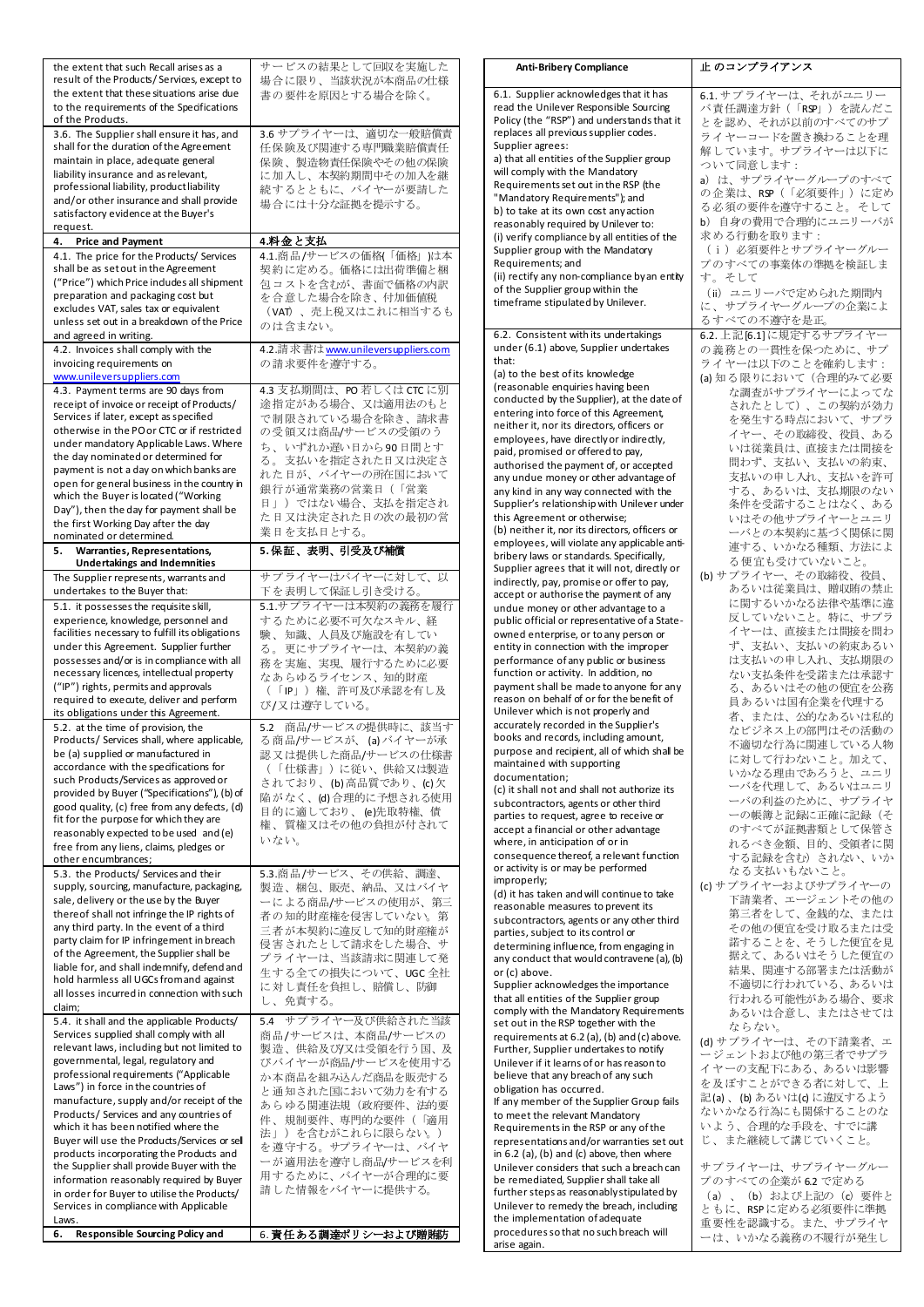| the extent that such Recall arises as a                                                                                                                                                                                                                                                                           | サービスの結果として回収を実施した                                                                                                           |
|-------------------------------------------------------------------------------------------------------------------------------------------------------------------------------------------------------------------------------------------------------------------------------------------------------------------|-----------------------------------------------------------------------------------------------------------------------------|
| result of the Products/Services, except to<br>the extent that these situations arise due                                                                                                                                                                                                                          | 場合に限り、当該状況が本商品の仕様<br>書の要件を原因とする場合を除く。                                                                                       |
| to the requirements of the Specifications                                                                                                                                                                                                                                                                         |                                                                                                                             |
| of the Products.                                                                                                                                                                                                                                                                                                  |                                                                                                                             |
| 3.6. The Supplier shall ensure it has, and<br>shall for the duration of the Agreement<br>maintain in place, adequate general<br>liability insurance and as relevant,<br>professional liability, product liability<br>and/or other insurance and shall provide<br>satisfactory evidence at the Buyer's<br>request. | 3.6 サプライヤーは、適切な一般賠償責<br>任保険及び関連する専門職業賠償責任<br>保険、製造物責任保険やその他の保険<br>に加入し、本契約期間中その加入を継<br>続するとともに、バイヤーが要請した<br>場合には十分な証拠を提示する。 |
| 4. Price and Payment                                                                                                                                                                                                                                                                                              | 4.料金と支払                                                                                                                     |
| 4.1. The price for the Products/ Services                                                                                                                                                                                                                                                                         | 4.1.商品/サービスの価格(「価格」)は本                                                                                                      |
| shall be as set out in the Agreement                                                                                                                                                                                                                                                                              | 契約に定める。価格には出荷準備と梱                                                                                                           |
| ("Price") which Price indudes all shipment<br>preparation and packaging cost but                                                                                                                                                                                                                                  | 包コストを含むが、書面で価格の内訳<br>を合意した場合を除き、付加価値税                                                                                       |
| excludes VAT, sales tax or equivalent                                                                                                                                                                                                                                                                             | (VAT)、売上税又はこれに相当するも                                                                                                         |
| unless set out in a breakdown of the Price                                                                                                                                                                                                                                                                        | のは含まない。                                                                                                                     |
| and agreed in writing.                                                                                                                                                                                                                                                                                            |                                                                                                                             |
| 4.2. Invoices shall comply with the<br>invoicing requirements on                                                                                                                                                                                                                                                  | 4.2.請求書は <u>www.unileversuppliers.com</u><br>の請求要件を導守する。                                                                    |
| www.unileversuppliers.com                                                                                                                                                                                                                                                                                         |                                                                                                                             |
| 4.3. Payment terms are 90 days from                                                                                                                                                                                                                                                                               | 4.3 支払期間は、PO若しくは CTC に別                                                                                                     |
| receipt of invoice or receipt of Products/                                                                                                                                                                                                                                                                        | 途指定がある場合、又は適用法のもと                                                                                                           |
| Services if later, except as specified<br>otherwise in the PO or CTC or if restricted                                                                                                                                                                                                                             | で制限されている場合を除き、請求書<br>の受領又は商品/サービスの受領のう                                                                                      |
| under mandatory Applicable Laws. Where                                                                                                                                                                                                                                                                            | ち、いずれか遅い日から90日間とす                                                                                                           |
| the day nominated or determined for                                                                                                                                                                                                                                                                               | る。支払いを指定された日又は決定さ                                                                                                           |
| payment is not a day on which banks are                                                                                                                                                                                                                                                                           | れた日が、バイヤーの所在国において                                                                                                           |
| open for general business in the country in<br>which the Buyer is located ("Working                                                                                                                                                                                                                               | 銀行が通常業務の営業日(「営業                                                                                                             |
| Day"), then the day for payment shall be                                                                                                                                                                                                                                                                          | 日」)ではない場合、支払を指定され                                                                                                           |
| the first Working Day after the day                                                                                                                                                                                                                                                                               | た日又は決定された日の次の最初の営<br>業日を支払日とする。                                                                                             |
| nominated or determined.                                                                                                                                                                                                                                                                                          | 5. 保証、表明、引受及び補償                                                                                                             |
| Warranties, Representations,<br>5.<br><b>Undertakings and Indemnities</b>                                                                                                                                                                                                                                         |                                                                                                                             |
| The Supplier represents, warrants and<br>undertakes to the Buyer that:                                                                                                                                                                                                                                            | サプライヤーはバイヤーに対して、以<br>下を表明して保証し引き受ける。                                                                                        |
| 5.1. it possesses the requisite skill,                                                                                                                                                                                                                                                                            | 5.1.サプライヤーは本契約の義務を履行                                                                                                        |
| experience, knowledge, personnel and                                                                                                                                                                                                                                                                              | するために必要不可欠なスキル、経                                                                                                            |
| facilities necessary to fulfill its obligations                                                                                                                                                                                                                                                                   | 験、知識、人員及び施設を有してい                                                                                                            |
| under this Agreement. Supplier further<br>possesses and/or is in compliance with all                                                                                                                                                                                                                              | る。更にサプライヤーは、本契約の義                                                                                                           |
| necessary licences, intellectual property                                                                                                                                                                                                                                                                         | 務を実施、実現、履行するために必要<br>なあらゆるライセンス、知的財産                                                                                        |
| ("IP") rights, permits and approvals                                                                                                                                                                                                                                                                              | (「IP」)権、許可及び承認を有し及                                                                                                          |
| required to execute, deliver and perform                                                                                                                                                                                                                                                                          | び/又は遵守している。                                                                                                                 |
| its obligations under this Agreement.<br>5.2. at the time of provision, the                                                                                                                                                                                                                                       | 商品/サービスの提供時に、該当す<br>5.2                                                                                                     |
| Products/ Services shall, where applicable,                                                                                                                                                                                                                                                                       | る商品/サービスが、(a)バイヤーが承                                                                                                         |
| be (a) supplied or manufactured in                                                                                                                                                                                                                                                                                | 認又は提供した商品/サービスの仕様書                                                                                                          |
| accordance with the specifications for<br>such Products/Services as approved or                                                                                                                                                                                                                                   | (「仕様書」)に従い、供給又は製造                                                                                                           |
| provided by Buyer ("Specifications"), (b) of                                                                                                                                                                                                                                                                      | されており、(b)高品質であり、(c)欠<br>陥がなく、(d)合理的に予想される使用                                                                                 |
| good quality, (c) free from any defects, (d)                                                                                                                                                                                                                                                                      | 目的に適しており、(e)先取特権、債                                                                                                          |
| fit for the purpose for which they are<br>reasonably expected to be used and (e)                                                                                                                                                                                                                                  | 権、質権又はその他の負担が付されて                                                                                                           |
| free from any liens, claims, pledges or                                                                                                                                                                                                                                                                           | いない。                                                                                                                        |
| other encumbrances;                                                                                                                                                                                                                                                                                               |                                                                                                                             |
| 5.3. the Products/ Services and their                                                                                                                                                                                                                                                                             | 5.3.商品/サービス、その供給、調達、                                                                                                        |
| supply, sourcing, manufacture, packaging,<br>sale, delivery or the use by the Buyer                                                                                                                                                                                                                               | 製造、梱包、販売、納品、又はバイヤ<br>ーによる商品/サービスの使用が、第三                                                                                     |
| thereof shall not infringe the IP rights of                                                                                                                                                                                                                                                                       | 者の知的財産権を侵害していない。第                                                                                                           |
| any third party. In the event of a third                                                                                                                                                                                                                                                                          | 三者が本契約に違反して知的財産権が                                                                                                           |
| party claim for IP infringement in breach                                                                                                                                                                                                                                                                         | 侵害されたとして請求をした場合、サ                                                                                                           |
| of the Agreement, the Supplier shall be<br>liable for, and shall indemnify, defend and                                                                                                                                                                                                                            | プライヤーは、当該請求に関連して発                                                                                                           |
| hold harmless all UGCs from and against                                                                                                                                                                                                                                                                           | 生する全ての損失について、UGC全社<br>に対し責任を負担し、賠償し、防御                                                                                      |
| all losses incurred in connection with such                                                                                                                                                                                                                                                                       | し、免責する。                                                                                                                     |
| claim:<br>5.4. it shall and the applicable Products/                                                                                                                                                                                                                                                              | サプライヤー及び供給された当該<br>5.4                                                                                                      |
| Services supplied shall comply with all                                                                                                                                                                                                                                                                           | 商品/サービスは、本商品/サービスの                                                                                                          |
| relevant laws, including but not limited to                                                                                                                                                                                                                                                                       | 製造、供給及びJ又は受領を行う国、及                                                                                                          |
| governmental, legal, regulatory and                                                                                                                                                                                                                                                                               | びバイヤーが商品/サービスを使用する                                                                                                          |
| professional requirements ("Applicable<br>Laws") in force in the countries of                                                                                                                                                                                                                                     | か本商品を組み込んだ商品を販売する                                                                                                           |
| manufacture, supply and/or receipt of the                                                                                                                                                                                                                                                                         | と通知された国において効力を有する<br>あらゆる関連法規(政府要件、法的要                                                                                      |
| Products/ Services and any countries of                                                                                                                                                                                                                                                                           | 件、規制要件、専門的な要件(「適用                                                                                                           |
| which it has been notified where the                                                                                                                                                                                                                                                                              | 法」)を含むがこれらに限らない。)                                                                                                           |
| Buyer will use the Products/Services or sell<br>products incorporating the Products and                                                                                                                                                                                                                           | を遵守する。サプライヤーは、バイヤ                                                                                                           |
| the Supplier shall provide Buyer with the                                                                                                                                                                                                                                                                         | ーが適用法を遵守し商品/サービスを利                                                                                                          |
| information reasonably required by Buyer                                                                                                                                                                                                                                                                          | 用するために、バイヤーが合理的に要                                                                                                           |
| in order for Buyer to utilise the Products/<br>Services in compliance with Applicable                                                                                                                                                                                                                             | 請した情報をバイヤーに提供する。                                                                                                            |
| Laws.                                                                                                                                                                                                                                                                                                             |                                                                                                                             |
| <b>Responsible Sourcing Policy and</b><br>6.                                                                                                                                                                                                                                                                      | 6. 責任ある調達ポリシーおよび贈賄防                                                                                                         |

| <b>Anti-Bribery Compliance</b>                                                        | 止 のコンプライアンス                                  |
|---------------------------------------------------------------------------------------|----------------------------------------------|
| 6.1. Supplier acknowledges that it has                                                | 6.1. サプライヤーは、それがユニリー                         |
| read the Unilever Responsible Sourcing                                                | バ責任調達方針(「RSP」)を読んだこ                          |
| Policy (the "RSP") and understands that it                                            | とを認め、それが以前のすべてのサプ                            |
| replaces all previous supplier codes.                                                 | ライヤーコードを置き換わることを理                            |
| Supplier agrees:<br>a) that all entities of the Supplier group                        | 解しています。サプライヤーは以下に                            |
| will comply with the Mandatory                                                        | ついて同意します:                                    |
| Requirements set out in the RSP (the                                                  | a) は、サプライヤーグループのすべて                          |
| "Mandatory Requirements"); and                                                        | の企業は、RSP(「必須要件」)に定め                          |
| b) to take at its own cost any action                                                 | る必須の要件を遵守すること。 そして                           |
| reasonably required by Unilever to:                                                   | b) 自身の費用で合理的にユニリーバが<br>求める行動を取ります:           |
| (i) verify compliance by all entities of the<br>Supplier group with the Mandatory     | (i) 必須要件とサプライヤーグルー                           |
| Requirements; and                                                                     | プのすべての事業体の準拠を検証しま                            |
| (ii) rectify any non-compliance by an entity                                          | す。そして                                        |
| of the Supplier group within the                                                      | (ii) ユニリーバで定められた期間内                          |
| timeframe stipulated by Unilever.                                                     | に、サプライヤーグループの企業によ                            |
|                                                                                       | るすべての不遵守を是正。                                 |
| 6.2. Consistent with its undertakings                                                 | 6.2. 上記[6.1]に規定するサプライヤー                      |
| under (6.1) above, Supplier undertakes<br>that:                                       | の義務との一貫性を保つために、サプ                            |
| (a) to the best of its knowledge                                                      | ライヤーは以下のことを確約します:<br>(a) 知る限りにおいて(合理的みて必要    |
| (reasonable enquiries having been                                                     | な調査がサプライヤーによってな                              |
| conducted by the Supplier), at the date of                                            | されたとして)、この契約が効力                              |
| entering into force of this Agreement,                                                | を発生する時点において、サプラ                              |
| neither it, nor its directors, officers or<br>employees, have directly or indirectly, | イヤー、その取締役、役員、ある                              |
| paid, promised or offered to pay,                                                     | いは従業員は、直接または間接を                              |
| authorised the payment of, or accepted                                                | 問わず、支払い、支払いの約束、                              |
| any undue money or other advantage of                                                 | 支払いの申し入れ、支払いを許可                              |
| any kind in any way connected with the                                                | する、あるいは、支払期限のない                              |
| Supplier's relationship with Unilever under<br>this Agreement or otherwise;           | 条件を受諾することはなく、ある                              |
| (b) neither it, nor its directors, officers or                                        | いはその他サプライヤーとユニリ<br>ーバとの本契約に基づく関係に関           |
| employees, will violate any applicable anti-                                          | 連する、いかなる種類、方法によ                              |
| bribery laws or standards. Specifically,                                              | る便宜も受けていないこと。                                |
| Supplier agrees that it will not, directly or                                         | (b) サプライヤー、その取締役、役員、                         |
| indirectly, pay, promise or offer to pay,<br>accept or authorise the payment of any   | あるいは従業員は、贈収賄の禁止                              |
| undue money or other advantage to a                                                   | に関するいかなる法律や基準に違                              |
| public official or representative of a State-                                         | 反していないこと。特に、サプラ                              |
| owned enterprise, or to any person or                                                 | イヤーは、直接または間接を問わ                              |
| entity in connection with the improper                                                | ず、支払い、支払いの約束あるい                              |
| performance of any public or business<br>function or activity. In addition, no        | は支払いの申し入れ、支払期限の<br>ない支払条件を受諾または承認す           |
| payment shall be made to anyone for any                                               | る、あるいはその他の便宜を公務                              |
| reason on behalf of or for the benefit of                                             | 員あるいは国有企業を代理する                               |
| Unilever which is not properly and                                                    | 者、または、公的なあるいは私的                              |
| accurately recorded in the Supplier's                                                 | なビジネス上の部門はその活動の                              |
| books and records, including amount,<br>purpose and recipient, all of which shall be  | 不適切な行為に関連している人物                              |
| maintained with supporting                                                            | に対して行わないこと。加えて、                              |
| documentation;                                                                        | いかなる理由であろうと、ユニリ                              |
| (c) it shall not and shall not authorize its                                          | ーバを代理して、あるいはユニリ                              |
| subcontractors, agents or other third<br>parties to request, agree to receive or      | ーバの利益のために、サプライヤ<br>一の帳簿と記録に正確に記録(そ           |
| accept a financial or other advantage                                                 | のすべてが証拠書類として保管さ                              |
| where, in anticipation of or in                                                       | れるべき金額、目的、受領者に関                              |
| consequence thereof, a relevant function                                              | する記録を含む)されない、いか                              |
| or activity is or may be performed                                                    | なる支払いもないこと。                                  |
| improperly;<br>(d) it has taken and will continue to take                             | (c) サプライヤーおよびサプライヤーの                         |
| reasonable measures to prevent its                                                    | 下請業者、エージェントその他の<br>第三者をして、金銭的な、または           |
| subcontractors, agents or any other third                                             | その他の便宜を受け取るまたは受                              |
| parties, subject to its control or                                                    | 諾することを、そうした便宜を見                              |
| determining influence, from engaging in<br>any conduct that would contravene (a), (b) | 据えて、あるいはそうした便宜の                              |
| or (c) above.                                                                         | 結果、関連する部署または活動が                              |
| Supplier acknowledges the importance                                                  | 不適切に行われている、あるいは                              |
| that all entities of the Supplier group                                               | 行われる可能性がある場合、要求                              |
| comply with the Mandatory Requirements                                                | あるいは合意し、またはさせては                              |
| set out in the RSP together with the<br>requirements at 6.2 (a), (b) and (c) above.   | ならない。                                        |
| Further, Supplier undertakes to notify                                                | (d) サプライヤーは、その下請業者、エ                         |
| Unilever if it learns of or has reason to                                             | ージェントおよび他の第三者でサプラ<br>イヤーの支配下にある、あるいは影響       |
| believe that any breach of any such                                                   | を及ぼすことができる者に対して、上                            |
| obligation has occurred.                                                              | 記(a) 、(b) あるいは(c) に違反するよう                    |
| If any member of the Supplier Group fails<br>to meet the relevant Mandatory           | ないかなる行為にも関係することのな                            |
| Requirements in the RSP or any of the                                                 | いよう、合理的な手段を、すでに講                             |
| representations and/or warranties set out                                             | じ、また継続して講じていくこと。                             |
| in $6.2$ (a), (b) and (c) above, then where                                           |                                              |
| Unilever considers that such a breach can<br>be remediated, Supplier shall take all   | サプライヤーは、サプライヤーグルー                            |
| further steps as reasonably stipulated by                                             | プのすべての企業が 6.2 で定める<br>(a)、(b) および上記の (c) 要件と |
| Unilever to remedy the breach, including                                              | ともに、RSPに定める必須要件に準拠                           |
| the implementation of adequate                                                        | 重要性を認識する。また、サプライヤ                            |
| procedures so that no such breach will<br>arise again.                                | ーは、いかなる義務の不履行が発生し                            |
|                                                                                       |                                              |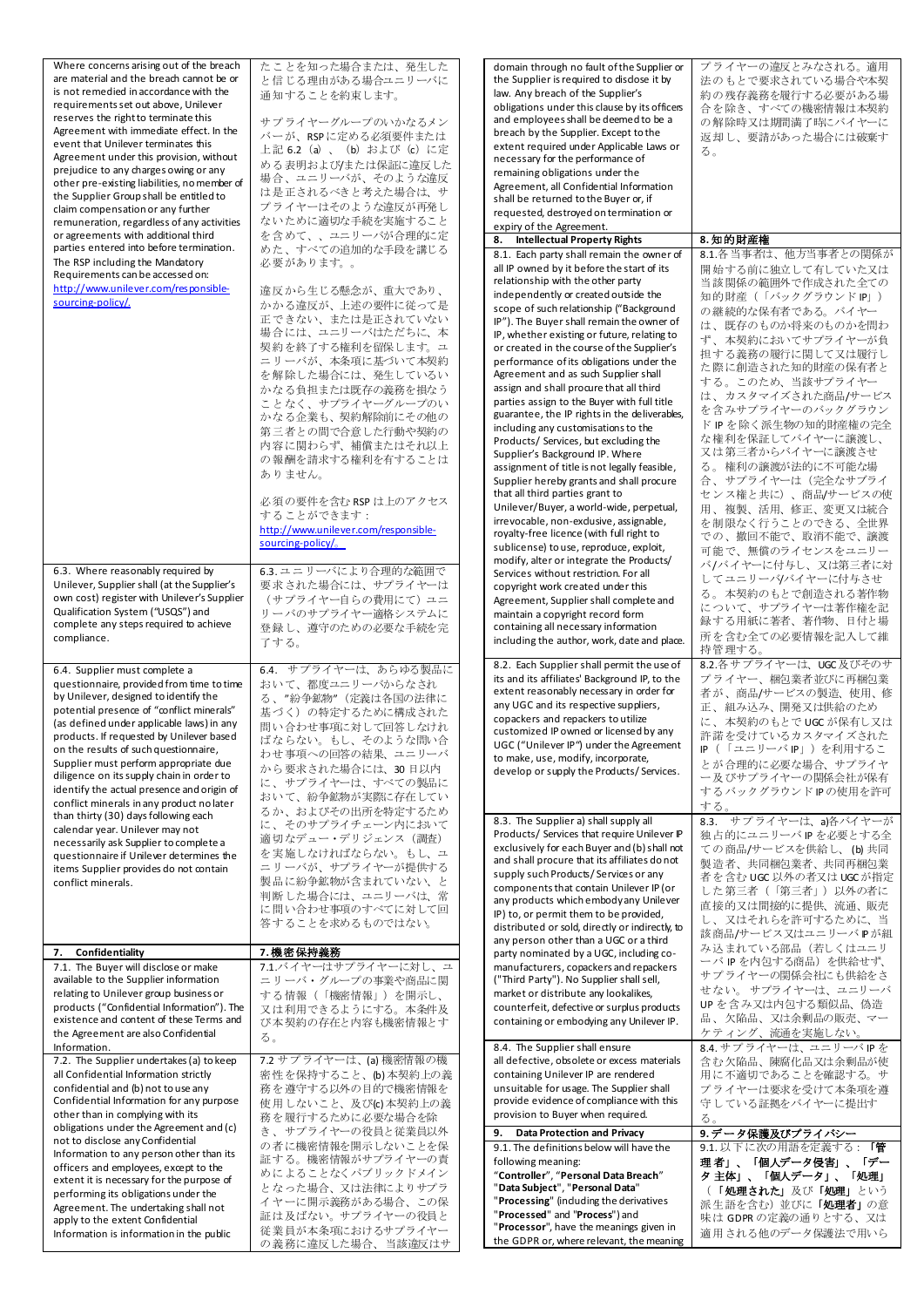| Where concerns arising out of the breach<br>are material and the breach cannot be or<br>is not remedied in accordance with the<br>requirements set out above, Unilever<br>reserves the right to terminate this<br>Agreement with immediate effect. In the<br>event that Unilever terminates this<br>Agreement under this provision, without<br>prejudice to any charges owing or any<br>other pre-existing liabilities, no member of<br>the Supplier Group shall be entitled to<br>claim compensation or any further<br>remuneration, regardless of any activities<br>or agreements with additional third | たことを知った場合または、発生した<br>と信じる理由がある場合ユニリーバに<br>通知することを約束します。<br>サプライヤーグループのいかなるメン<br>バーが、RSPに定める必須要件または<br>上記 6.2 (a) 、 (b) および (c) に定<br>める表明およびはたは保証に違反した<br>場合、ユニリーバが、そのような違反<br>は是正されるべきと考えた場合は、サ<br>プライヤーはそのような違反が再発し<br>ないために適切な手続を実施すること<br>を含めて、、ユニリーバが合理的に定                                      | domain through no fault of the Supplier or<br>the Supplier is required to disdose it by<br>law. Any breach of the Supplier's<br>obligations under this clause by its officers<br>and employees shall be deemed to be a<br>breach by the Supplier. Except to the<br>extent required under Applicable Laws or<br>necessary for the performance of<br>remaining obligations under the<br>Agreement, all Confidential Information<br>shall be returned to the Buyer or, if<br>requested, destroyed on termination or<br>expiry of the Agreement.<br><b>Intellectual Property Rights</b><br>8.                                                                                                                                                                                                     | プライヤーの違反とみなされる。適用<br>法のもとで要求されている場合や本契<br>約の残存義務を履行する必要がある場<br>合を除き、すべての機密情報は本契約<br>の解除時又は期間満了時にバイヤーに<br>返却し、要請があった場合には破棄す<br>る。<br>8.知的財産権                                                                                                                                                                                                                          |
|-----------------------------------------------------------------------------------------------------------------------------------------------------------------------------------------------------------------------------------------------------------------------------------------------------------------------------------------------------------------------------------------------------------------------------------------------------------------------------------------------------------------------------------------------------------------------------------------------------------|------------------------------------------------------------------------------------------------------------------------------------------------------------------------------------------------------------------------------------------------------------------------------------------------------|-----------------------------------------------------------------------------------------------------------------------------------------------------------------------------------------------------------------------------------------------------------------------------------------------------------------------------------------------------------------------------------------------------------------------------------------------------------------------------------------------------------------------------------------------------------------------------------------------------------------------------------------------------------------------------------------------------------------------------------------------------------------------------------------------|----------------------------------------------------------------------------------------------------------------------------------------------------------------------------------------------------------------------------------------------------------------------------------------------------------------------------------------------------------------------|
| parties entered into before termination.                                                                                                                                                                                                                                                                                                                                                                                                                                                                                                                                                                  | めた、すべての追加的な手段を講じる                                                                                                                                                                                                                                                                                    | 8.1. Each party shall remain the owner of                                                                                                                                                                                                                                                                                                                                                                                                                                                                                                                                                                                                                                                                                                                                                     | 8.1.各当事者は、他方当事者との関係が                                                                                                                                                                                                                                                                                                                                                 |
| The RSP including the Mandatory<br>Requirements can be accessed on:<br>http://www.unilever.com/responsible-<br>sourcing-policy/.                                                                                                                                                                                                                                                                                                                                                                                                                                                                          | 必要があります。。<br>違反から生じる懸念が、重大であり、<br>かかる違反が、上述の要件に従って是<br>正できない、または是正されていない<br>場合には、ユニリーバはただちに、本<br>契約を終了する権利を留保します。ユ<br>ニリーバが、本条項に基づいて本契約<br>を解除した場合には、発生しているい<br>かなる負担または既存の義務を損なう<br>ことなく、サプライヤーグループのい<br>かなる企業も、契約解除前にその他の<br>第三者との間で合意した行動や契約の<br>内容に関わらず、補償またはそれ以上<br>の報酬を請求する権利を有することは<br>ありません。 | all IP owned by it before the start of its<br>relationship with the other party<br>independently or created outside the<br>scope of such relationship ("Background<br>IP"). The Buyer shall remain the owner of<br>IP, whether existing or future, relating to<br>or created in the course of the Supplier's<br>performance of its obligations under the<br>Agreement and as such Supplier shall<br>assign and shall procure that all third<br>parties assign to the Buyer with full title<br>guarantee, the IP rights in the deliverables,<br>including any customisations to the<br>Products/ Services, but excluding the<br>Supplier's Background IP. Where<br>assignment of title is not legally feasible,<br>Supplier hereby grants and shall procure<br>that all third parties grant to | 開始する前に独立して有していた又は<br>当該関係の範囲外で作成された全ての<br>知的財産(「バックグラウンド IP」)<br>の継続的な保有者である。バイヤー<br>は、既存のものか将来のものかを問わ<br>ず、本契約においてサプライヤーが負<br>担する義務の履行に関して又は履行し<br>た際に創造された知的財産の保有者と<br>する。このため、当該サプライヤー<br>は、カスタマイズされた商品/サービス<br>を含みサプライヤーのバックグラウン<br>ド IP を除く派生物の知的財産権の完全<br>な権利を保証してバイヤーに譲渡し、<br>又は第三者からバイヤーに譲渡させ<br>る。権利の譲渡が法的に不可能な場<br>合、サプライヤーは(完全なサブライ<br>センス権と共に)、商品/サービスの使 |
|                                                                                                                                                                                                                                                                                                                                                                                                                                                                                                                                                                                                           | 必須の要件を含む RSP は上のアクセス<br>することができます:<br>http://www.unilever.com/responsible-<br>sourcing-policy/                                                                                                                                                                                                       | Unilever/Buyer, a world-wide, perpetual,<br>irrevocable, non-exdusive, assignable,<br>royalty-free licence (with full right to<br>sublicense) to use, reproduce, exploit,<br>modify, alter or integrate the Products/                                                                                                                                                                                                                                                                                                                                                                                                                                                                                                                                                                         | 用、複製、活用、修正、変更又は統合<br>を制限なく行うことのできる、全世界<br>での、撤回不能で、取消不能で、譲渡<br>可能で、無償のライセンスをユニリー                                                                                                                                                                                                                                                                                     |
| 6.3. Where reasonably required by<br>Unilever, Supplier shall (at the Supplier's<br>own cost) register with Unilever's Supplier<br>Qualification System ("USQS") and<br>complete any steps required to achieve<br>compliance.                                                                                                                                                                                                                                                                                                                                                                             | 6.3. ユニリーバにより合理的な範囲で<br>要求された場合には、 サプライヤーは<br>(サプライヤー自らの費用にて) ユニ<br>リーバのサプライヤー適格システムに<br>登録し、遵守のための必要な手続を完<br>了する。                                                                                                                                                                                   | Services without restriction. For all<br>copyright work created under this<br>Agreement, Supplier shall complete and<br>maintain a copyright record form<br>containing all necessary information<br>including the author, work, date and place.                                                                                                                                                                                                                                                                                                                                                                                                                                                                                                                                               | バ/バイヤーに付与し、又は第三者に対<br>してユニリーバ/バイヤーに付与させ<br>る。本契約のもとで創造される著作物<br>について、サプライヤーは著作権を記<br>録する用紙に著者、著作物、日付と場<br>所を含む全ての必要情報を記入して維<br>持管理する。                                                                                                                                                                                                                                |
| 6.4. Supplier must complete a<br>questionnaire, provided from time to time<br>by Unilever, designed to identify the<br>potential presence of "conflict minerals"<br>(as defined under applicable laws) in any<br>products. If requested by Unilever based<br>on the results of such questionnaire<br>Supplier must perform appropriate due<br>diligence on its supply chain in order to<br>identify the actual presence and origin of<br>conflict minerals in any product no later<br>than thirty (30) days following each                                                                                | 6.4. サプライヤーは、あらゆる製品に<br>おいて、都度ユニリーバからなされ<br>る、"紛争鉱物"(定義は各国の法律に<br>基づく)の特定するために構成された<br>問い合わせ事項に対して回答しなけれ<br>ばならない。もし、そのような問い合<br>わせ事項への回答の結果、ユニリーバ<br>から要求された場合には、30日以内<br>に、サプライヤーは、すべての製品に<br>おいて、紛争鉱物が実際に存在してい<br>るか、およびその出所を特定するため                                                               | 8.2. Each Supplier shall permit the use of<br>its and its affiliates' Background IP, to the<br>extent reasonably necessary in order for<br>any UGC and its respective suppliers,<br>copackers and repackers to utilize<br>customized IP owned or licensed by any<br>UGC ("Unilever IP") under the Agreement<br>to make, use, modify, incorporate,<br>develop or supply the Products/Services.                                                                                                                                                                                                                                                                                                                                                                                                 | 8.2.各サプライヤーは、UGC及びそのサ<br>プライヤー、梱包業者並びに再梱包業<br>者が、商品/サービスの製造、使用、修<br>正、組み込み、開発又は供給のため<br>に、本契約のもとでUGCが保有し又は<br>許諾を受けているカスタマイズされた<br>IP (「ユニリーバIP」) を利用するこ<br>とが合理的に必要な場合、サプライヤ<br>ー及びサプライヤーの関係会社が保有<br>するバックグラウンドIPの使用を許可<br>する。                                                                                                                                      |
| calendar year. Unilever may not<br>necessarily ask Supplier to complete a<br>questionnaire if Unilever determines the<br>items Supplier provides do not contain<br>conflict minerals.                                                                                                                                                                                                                                                                                                                                                                                                                     | に、そのサプライチェーン内において<br>適切なデュー・デリジェンス(調査)<br>を実施しなければならない。もし、ユ<br>ニリーバが、サプライヤーが提供する<br>製品に紛争鉱物が含まれていない、と<br>判断した場合には、ユニリーバは、常<br>に問い合わせ事項のすべてに対して回<br>答することを求めるものではない。                                                                                                                                  | 8.3. The Supplier a) shall supply all<br>Products/ Services that require Unilever IP<br>exclusively for each Buyer and (b) shall not<br>and shall procure that its affiliates donot<br>supply such Products/Services or any<br>components that contain Unilever IP (or<br>any products which embody any Unilever<br>IP) to, or permit them to be provided,<br>distributed or sold, directly or indirectly, to<br>any person other than a UGC or a third                                                                                                                                                                                                                                                                                                                                       | 8.3. サプライヤーは、a)各バイヤーが<br>独占的にユニリーバIPを必要とする全<br>ての商品/サービスを供給し、(b)共同<br>製造者、共同梱包業者、共同再梱包業<br>者を含む UGC 以外の者又は UGC が指定<br>した第三者(「第三者」)以外の者に<br>直接的又は間接的に提供、流通、販売<br>し、又はそれらを許可するために、当<br>該商品/サービス又はユニリーバPが組                                                                                                                                                              |
| Confidentiality<br>7.<br>7.1. The Buyer will disclose or make                                                                                                                                                                                                                                                                                                                                                                                                                                                                                                                                             | 7.機密保持義務<br>7.1.バイヤーはサプライヤーに対し、ユ                                                                                                                                                                                                                                                                     | party nominated by a UGC, including co-<br>manufacturers, copackers and repackers                                                                                                                                                                                                                                                                                                                                                                                                                                                                                                                                                                                                                                                                                                             | み込まれている部品(若しくはユニリ<br>ーバIPを内包する商品)を供給せず、                                                                                                                                                                                                                                                                                                                              |
| available to the Supplier information<br>relating to Unilever group business or<br>products ("Confidential Information"). The<br>existence and content of these Terms and<br>the Agreement are also Confidential<br>Information.                                                                                                                                                                                                                                                                                                                                                                          | ニリーバ・グループの事業や商品に関<br>する情報(「機密情報」)を開示し、<br>又は利用できるようにする。本条件及<br>び本契約の存在と内容も機密情報とす<br>る。                                                                                                                                                                                                               | ("Third Party"). No Supplier shall sell,<br>market or distribute any lookalikes,<br>counterfeit, defective or surplus products<br>containing or embodying any Unilever IP.<br>8.4. The Supplier shall ensure                                                                                                                                                                                                                                                                                                                                                                                                                                                                                                                                                                                  | サプライヤーの関係会社にも供給をさ<br>せない。サプライヤーは、ユニリーバ<br>UPを含み又は内包する類似品、偽造<br>品、欠陥品、又は余剰品の販売、マー<br>ケティング、流通を実施しない。<br>8.4. サプライヤーは、ユニリーバIPを                                                                                                                                                                                                                                         |
| 7.2. The Supplier undertakes (a) to keep<br>all Confidential Information strictly<br>confidential and (b) not to use any<br>Confidential Information for any purpose<br>other than in complying with its<br>obligations under the Agreement and (c)                                                                                                                                                                                                                                                                                                                                                       | 7.2 サプライヤーは、(a) 機密情報の機<br>密性を保持すること、(b)本契約上の義<br>務を遵守する以外の目的で機密情報を<br>使用しないこと、及び(c)本契約上の義<br>務を履行するために必要な場合を除<br>き、サプライヤーの役員と従業員以外                                                                                                                                                                   | all defective, obsolete or excess materials<br>containing Unilever IP are rendered<br>unsuitable for usage. The Supplier shall<br>provide evidence of compliance with this<br>provision to Buyer when required.<br><b>Data Protection and Privacy</b><br>9.                                                                                                                                                                                                                                                                                                                                                                                                                                                                                                                                   | 含む欠陥品、陳腐化品又は余剰品が使<br>用に不適切であることを確認する。サ<br>プライヤーは要求を受けて本条項を遵<br>守している証拠をバイヤーに提出す<br>る。<br>9.データ保護及びプライバシー                                                                                                                                                                                                                                                             |
| not to disclose any Confidential<br>Information to any person other than its                                                                                                                                                                                                                                                                                                                                                                                                                                                                                                                              | の者に機密情報を開示しないことを保                                                                                                                                                                                                                                                                                    | 9.1. The definitions below will have the                                                                                                                                                                                                                                                                                                                                                                                                                                                                                                                                                                                                                                                                                                                                                      | 9.1. 以下に次の用語を定義する: 「管                                                                                                                                                                                                                                                                                                                                                |
| officers and employees, except to the<br>extent it is necessary for the purpose of<br>performing its obligations under the<br>Agreement. The undertaking shall not<br>apply to the extent Confidential<br>Information is information in the public                                                                                                                                                                                                                                                                                                                                                        | 証する。機密情報がサプライヤーの責<br>めによることなくパブリックドメイン<br>となった場合、又は法律によりサプラ<br>イヤーに開示義務がある場合、この保<br>証は及ばない。サプライヤーの役員と<br>従業員が本条項におけるサプライヤー<br>の義務に違反した場合、当該違反はサ                                                                                                                                                      | following meaning:<br>"Controller", "Personal Data Breach"<br>"Data Subject", "Personal Data"<br>"Processing" (induding the derivatives<br>"Processed" and "Process") and<br>"Processor", have the meanings given in<br>the GDPR or, where relevant, the meaning                                                                                                                                                                                                                                                                                                                                                                                                                                                                                                                              | 理者」、「個人データ侵害」、<br>「デー<br>タ 主体」、「個人データ」、「処理」<br>(「処理された」及び「処理」という<br>派生語を含む) 並びに「処理者」の意<br>味は GDPR の定義の通りとする、又は<br>適用される他のデータ保護法で用いら                                                                                                                                                                                                                                  |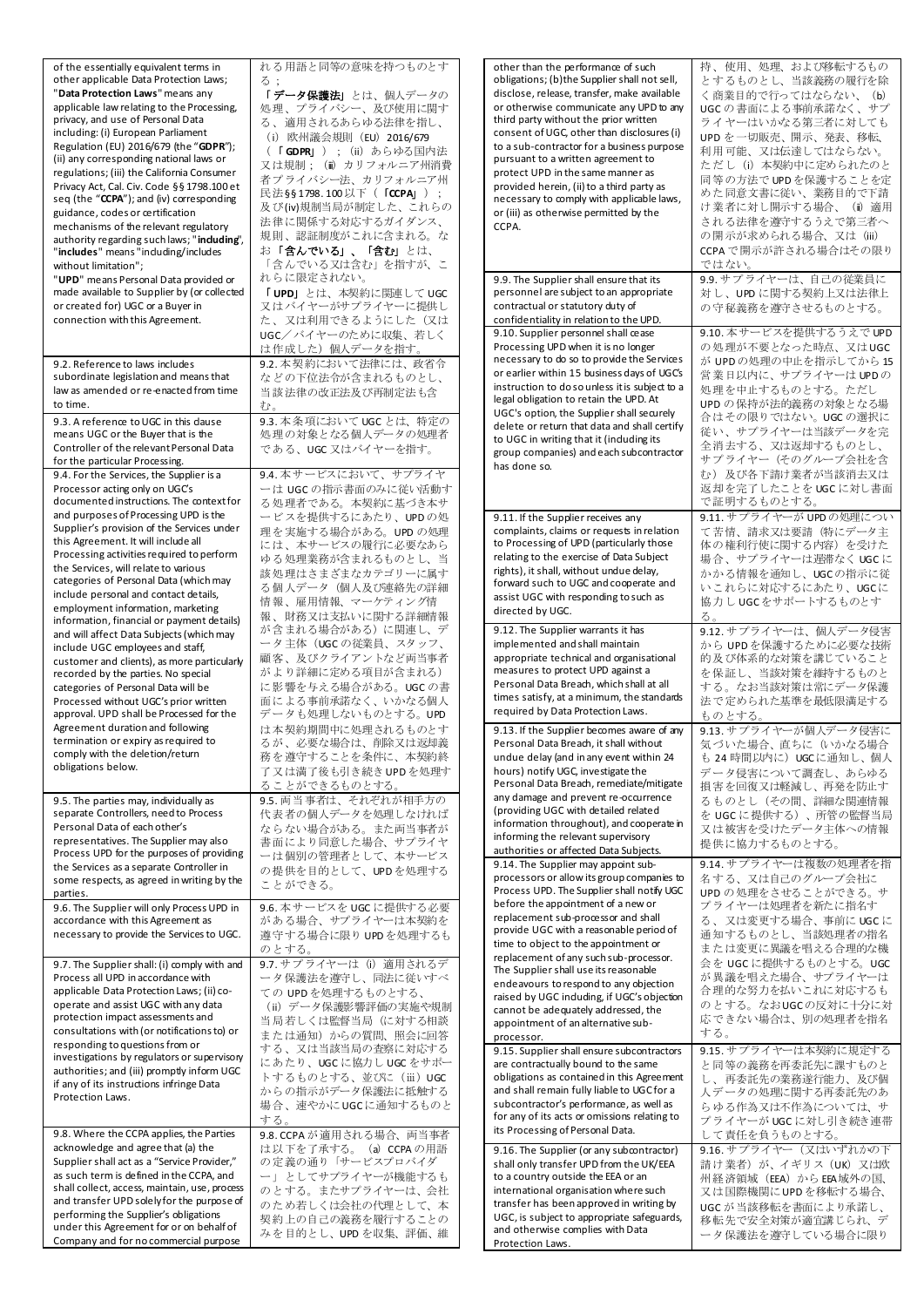| of the essentially equivalent terms in                                                                                                                                                                                                                                                                                                                                                                                                                                                                                                                                                                                                                                                                                                                                                                                                                                                                                                                                                          | れる用語と同等の意味を持つものとす                                                                                                                                                                                                                                                                                                                                                                                                                                                                                            |
|-------------------------------------------------------------------------------------------------------------------------------------------------------------------------------------------------------------------------------------------------------------------------------------------------------------------------------------------------------------------------------------------------------------------------------------------------------------------------------------------------------------------------------------------------------------------------------------------------------------------------------------------------------------------------------------------------------------------------------------------------------------------------------------------------------------------------------------------------------------------------------------------------------------------------------------------------------------------------------------------------|--------------------------------------------------------------------------------------------------------------------------------------------------------------------------------------------------------------------------------------------------------------------------------------------------------------------------------------------------------------------------------------------------------------------------------------------------------------------------------------------------------------|
| other applicable Data Protection Laws;<br>"Data Protection Laws" means any<br>applicable law relating to the Processing,<br>privacy, and use of Personal Data<br>including: (i) European Parliament<br>Regulation (EU) 2016/679 (the "GDPR");<br>(ii) any corresponding national laws or<br>regulations; (iii) the California Consumer<br>Privacy Act, Cal. Civ. Code §§ 1798.100 et<br>seq (the "CCPA"); and (iv) corresponding<br>guidance, codes or certification<br>mechanisms of the relevant regulatory<br>authority regarding such laws; "induding",<br>"includes" means "induding/includes<br>without limitation";<br>"UPD" means Personal Data provided or<br>made available to Supplier by (or collected<br>or created for) UGC or a Buyer in<br>connection with this Agreement.<br>9.2. Reference to laws includes<br>subordinate legislation and means that<br>law as amended or re-enacted from time                                                                               | る:<br>「データ保護法」とは、個人データの<br>処理、プライバシー、及び使用に関す<br>る、適用されるあらゆる法律を指し、<br>(i) 欧州議会規則 (EU) 2016/679<br>( <b>「GDPR」</b> ) ; (ii) あらゆる国内法<br>又は規制;(mì カリフォルニア州消費<br>者プライバシー法、カリフォルニア州<br>民法§§1798.100以下(「 <b>CCPA</b> 」);<br>及び(iv)規制当局が制定した、これらの<br>法律に関係する対応するガイダンス、<br>規則、認証制度がこれに含まれる。な<br>お「含んでいる」、「含む」とは、<br>「含んでいる又は含む」を指すが、こ<br>れらに限定されない。<br>「UPD」とは、本契約に関連して UGC<br>又はバイヤーがサプライヤーに提供し<br>た、又は利用できるようにした(又は<br>UGC/バイヤーのために収集、若しく<br>は作成した)個人データを指す。<br>9.2. 本契約において法律には、政省令<br>などの下位法令が含まれるものとし、           |
| to time.                                                                                                                                                                                                                                                                                                                                                                                                                                                                                                                                                                                                                                                                                                                                                                                                                                                                                                                                                                                        | 当該法律の改正法及び再制定法も含                                                                                                                                                                                                                                                                                                                                                                                                                                                                                             |
| 9.3. A reference to UGC in this dause<br>means UGC or the Buyer that is the<br>Controller of the relevant Personal Data<br>for the particular Processing.                                                                                                                                                                                                                                                                                                                                                                                                                                                                                                                                                                                                                                                                                                                                                                                                                                       | む。<br>9.3. 本条項において UGC とは、特定の<br>処理の対象となる個人データの処理者<br>である、UGC 又はバイヤーを指す。<br>9.4. 本サービスにおいて、サプライヤ                                                                                                                                                                                                                                                                                                                                                                                                             |
| 9.4. For the Services, the Supplier is a<br>Processor acting only on UGC's<br>documented instructions. The context for<br>and purposes of Processing UPD is the<br>Supplier's provision of the Services under<br>this Agreement. It will include all<br>Processing activities required to perform<br>the Services, will relate to various<br>categories of Personal Data (which may<br>include personal and contact details,<br>employment information, marketing<br>information, financial or payment details)<br>and will affect Data Subjects (which may<br>include UGC employees and staff,<br>customer and clients), as more particularly<br>recorded by the parties. No special<br>categories of Personal Data will be<br>Processed without UGC's prior written<br>approval. UPD shall be Processed for the<br>Agreement duration and following<br>termination or expiry as required to<br>comply with the deletion/return<br>obligations below.<br>9.5. The parties may, individually as | ーは UGC の指示書面のみに従い活動す<br>る 処 理者である。本契約に基づき本サ<br>ービスを提供するにあたり、UPDの処<br>理を実施する場合がある。UPD の処理<br>には、本サービスの履行に必要なあら<br>ゆる処理業務が含まれるものとし、当<br>該処理はさまざまなカテゴリーに属す<br>る個人データ(個人及び連絡先の詳細<br>情報、雇用情報、マーケティング情<br>報、財務又は支払いに関する詳細情報<br>が含まれる場合がある)に関連し、デ<br>ータ主体(UGCの従業員、スタッフ、<br>顧客、及びクライアントなど両当事者<br>がより詳細に定める項目が含まれる)<br>に影響を与える場合がある。UGC の書<br>面による事前承諾なく、いかなる個人<br>データも処理しないものとする。UPD<br>は本契約期間中に処理されるものとす<br>るが、必要な場合は、削除又は返却義<br>務を遵守することを条件に、本契約終<br>了又は満了後も引き続き UPD を処理す<br>ることができるものとする。<br>9.5. 両当事者は、それぞれが相手方の |
| separate Controllers, need to Process<br>Personal Data of each other's<br>representatives. The Supplier may also<br>Process UPD for the purposes of providing<br>the Services as a separate Controller in                                                                                                                                                                                                                                                                                                                                                                                                                                                                                                                                                                                                                                                                                                                                                                                       | 代表者の個人データを処理しなければ<br>ならない場合がある。また両当事者が<br>書面により同意した場合、サプライヤ<br>ーは個別の管理者として、本サービス                                                                                                                                                                                                                                                                                                                                                                                                                             |
| some respects, as agreed in writing by the                                                                                                                                                                                                                                                                                                                                                                                                                                                                                                                                                                                                                                                                                                                                                                                                                                                                                                                                                      | の提供を目的として、UPDを処理する<br>ことができる。                                                                                                                                                                                                                                                                                                                                                                                                                                                                                |
| parties.                                                                                                                                                                                                                                                                                                                                                                                                                                                                                                                                                                                                                                                                                                                                                                                                                                                                                                                                                                                        |                                                                                                                                                                                                                                                                                                                                                                                                                                                                                                              |
| 9.6. The Supplier will only Process UPD in<br>accordance with this Agreement as<br>necessary to provide the Services to UGC.                                                                                                                                                                                                                                                                                                                                                                                                                                                                                                                                                                                                                                                                                                                                                                                                                                                                    | 9.6. 本サービスを UGC に提供する必要<br>がある場合、サプライヤーは本契約を<br>遵守する場合に限り UPD を処理するも<br>のとする。                                                                                                                                                                                                                                                                                                                                                                                                                                |
| 9.7. The Supplier shall: (i) comply with and<br>Process all UPD in accordance with<br>applicable Data Protection Laws; (ii) co-<br>operate and assist UGC with any data<br>protection impact assessments and<br>consultations with (or notifications to) or<br>responding to questions from or<br>investigations by regulators or supervisory<br>authorities; and (iii) promptly inform UGC<br>if any of its instructions infringe Data<br>Protection Laws.                                                                                                                                                                                                                                                                                                                                                                                                                                                                                                                                     | 9.7. サプライヤーは (i) 適用されるデ<br>ータ保護法を遵守し、同法に従いすべ<br>ての UPDを処理するものとする、<br>(ii) データ保護影響評価の実施や規制<br>当局若しくは監督当局 (に対する相談<br>または通知)からの質問、照会に回答<br>する、又は当該当局の査察に対応する<br>にあたり、UGCに協力し UGC をサポー<br>トするものとする、並びに (iii) UGC<br>からの指示がデータ保護法に抵触する<br>場合、速やかにUGCに通知するものと<br>する。                                                                                                                                                                                                                                               |
| 9.8. Where the CCPA applies, the Parties                                                                                                                                                                                                                                                                                                                                                                                                                                                                                                                                                                                                                                                                                                                                                                                                                                                                                                                                                        | 9.8. CCPA が 適用される場合、両当事者                                                                                                                                                                                                                                                                                                                                                                                                                                                                                     |
| acknowledge and agree that (a) the<br>Supplier shall act as a "Service Provider,"<br>as such term is defined in the CCPA, and<br>shall collect, access, maintain, use, process<br>and transfer UPD solely for the purpose of<br>performing the Supplier's obligations<br>under this Agreement for or on behalf of<br>Company and for no commercial purpose                                                                                                                                                                                                                                                                                                                                                                                                                                                                                                                                                                                                                                      | は以下を了承する。(a) CCPAの用語<br>の定義の通り「サービスプロバイダ<br>ー」としてサプライヤーが機能するも<br>のとする。またサプライヤーは、会社<br>のため若しくは会社の代理として、本<br>契約上の自己の義務を履行することの<br>みを目的とし、UPD を収集、評価、維                                                                                                                                                                                                                                                                                                                                                          |

| other than the performance of such<br>obligations; (b)the Supplier shall not sell,<br>disclose, release, transfer, make available<br>or otherwise communicate any UPD to any<br>third party without the prior written<br>consent of UGC, other than disclosures (i)<br>to a sub-contractor for a business purpose<br>pursuant to a written agreement to<br>protect UPD in the same manner as<br>provided herein, (ii) to a third party as<br>necessary to comply with applicable laws,<br>or (iii) as otherwise permitted by the<br>CCPA.                             | 持、使用、処理、および移転するもの<br>とするものとし、当該義務の履行を除<br>く商業目的で行ってはならない、<br>(b)<br>UGC の書面による事前承諾なく、サプ<br>ライヤーはいかなる第三者に対しても<br>UPD を一切販売、開示、発表、移転、<br>利用可能、又は伝達してはならない。<br>ただし(i)本契約中に定められたのと<br>同等の方法で UPD を保護することを定<br>めた同意文書に従い、業務目的で下請<br>け業者に対し開示する場合、(ii)適用<br>される法律を遵守するうえで第三者へ<br>の開示が求められる場合、又は (iii)<br>CCPAで開示が許される場合はその限り<br>ではない。 |
|-----------------------------------------------------------------------------------------------------------------------------------------------------------------------------------------------------------------------------------------------------------------------------------------------------------------------------------------------------------------------------------------------------------------------------------------------------------------------------------------------------------------------------------------------------------------------|---------------------------------------------------------------------------------------------------------------------------------------------------------------------------------------------------------------------------------------------------------------------------------------------------------------------------------|
| 9.9. The Supplier shall ensure that its<br>personnel are subject to an appropriate<br>contractual or statutory duty of<br>confidentiality in relation to the UPD.                                                                                                                                                                                                                                                                                                                                                                                                     | 9.9. サプライヤーは、自己の従業員に<br>対し、UPD に関する契約上又は法律上<br>の守秘義務を遵守させるものとする。                                                                                                                                                                                                                                                                |
| 9.10. Supplier personnel shall cease<br>Processing UPD when it is no longer<br>necessary to do so to provide the Services<br>or earlier within 15 business days of UGC's<br>instruction to dosounless it is subject to a<br>legal obligation to retain the UPD. At<br>UGC's option, the Supplier shall securely<br>delete or return that data and shall certify<br>to UGC in writing that it (induding its<br>group companies) and each subcontractor<br>has done so.                                                                                                 | 9.10. 本サービスを提供するうえで UPD<br>の処理が不要となった時点、又はUGC<br>が UPDの処理の中止を指示してから 15<br>営業日以内に、サプライヤーは UPDの<br>処理を中止するものとする。ただし<br>UPDの保持が法的義務の対象となる場<br>合はその限りではない。UGC の選択に<br>従い、サプライヤーは当該データを完<br>全消去する、又は返却するものとし、<br>サプライヤー (そのグループ会社を含<br>む) 及び各下請け業者が当該消去又は<br>返却を完了したことを UGC に対し書面<br>で証明するものとする。                                     |
| 9.11. If the Supplier receives any<br>complaints, claims or requests in relation<br>to Processing of UPD (particularly those<br>relating to the exercise of Data Subject<br>rights), it shall, without undue delay,<br>forward such to UGC and cooperate and<br>assist UGC with responding to such as<br>directed by UGC.                                                                                                                                                                                                                                             | 9.11. サプライヤーが UPD の処理につい<br>て苦情、請求又は要請(特にデータ主<br>体の権利行使に関する内容)を受けた<br>場合、サプライヤーは遅滞なく UGC に<br>かかる情報を通知し、UGCの指示に従<br>いこれらに対応するにあたり、UGCに<br>協力し UGCをサポートするものとす<br>る。                                                                                                                                                              |
| 9.12. The Supplier warrants it has<br>implemented and shall maintain<br>appropriate technical and organisational<br>measures to protect UPD against a<br>Personal Data Breach, which shall at all<br>times satisfy, at a minimum, the standards<br>required by Data Protection Laws.                                                                                                                                                                                                                                                                                  | 9.12. サプライヤーは、個人データ侵害<br>から UPDを保護するために必要な技術<br>的及び体系的な対策を講じていること<br>を保証し、当該対策を維持するものと<br>する。なお当該対策は常にデータ保護<br>法で定められた基準を最低限満足する<br>ものとする。                                                                                                                                                                                      |
| 9.13. If the Supplier becomes aware of any<br>Personal Data Breach, it shall without<br>undue delay (and in any event within 24<br>hours) notify UGC, investigate the<br>Personal Data Breach, remediate/mitigate<br>any damage and prevent re-occurrence<br>(providing UGC with detailed related<br>information throughout), and cooperate in<br>informing the relevant supervisory<br>authorities or affected Data Subjects.                                                                                                                                        | 9.13. サプライヤーが個人データ侵害に<br>気づいた場合、直ちに(いかなる場合<br>も 24 時間以内に)UGC に通知し、個人<br>データ侵害について調査し、あらゆる<br>損害を回復又は軽減し、再発を防止す<br>るものとし(その間、詳細な関連情報<br>を UGC に提供する)、所管の監督当局<br>又は被害を受けたデータ主体への情報<br>提供に協力するものとする。                                                                                                                               |
| 9.14. The Supplier may appoint sub-<br>processors or allow its group companies to<br>Process UPD. The Supplier shall notify UGC<br>before the appointment of a new or<br>replacement sub-processor and shall<br>provide UGC with a reasonable period of<br>time to object to the appointment or<br>replacement of any such sub-processor.<br>The Supplier shall use its reasonable<br>endeavours to respond to any objection<br>raised by UGC induding, if UGC's objection<br>cannot be adequately addressed, the<br>appointment of an alternative sub-<br>processor. | 9.14. サプライヤーは複数の処理者を指<br>名する、又は自己のグループ会社に<br>UPDの処理をさせることができる。サ<br>プライヤーは処理者を新たに指名す<br>る、又は変更する場合、事前に UGCに<br>通知するものとし、当該処理者の指名<br>または変更に異議を唱える合理的な機<br>会を UGC に提供するものとする。UGC<br>が異議を唱えた場合、サプライヤーは<br>合理的な努力を払いこれに対応するも<br>のとする。なおUGCの反対に十分に対<br>応できない場合は、別の処理者を指名<br>する。                                                       |
| 9.15. Supplier shall ensure subcontractors<br>are contractually bound to the same<br>obligations as contained in this Agreement<br>and shall remain fully liable to UGC for a<br>subcontractor's performance, as well as<br>for any of its acts or omissions relating to<br>its Processing of Personal Data.                                                                                                                                                                                                                                                          | 9.15. サプライヤーは本契約に規定する<br>と同等の義務を再委託先に課すものと<br>し、再委託先の業務遂行能力、及び個<br>人データの処理に関する再委託先のあ<br>らゆる作為又は不作為については、サ<br>プライヤーが UGC に対し引き続き連帯<br>して責任を負うものとする。                                                                                                                                                                              |
| 9.16. The Supplier (or any subcontractor)<br>shall only transfer UPD from the UK/EEA<br>to a country outside the EEA or an<br>international organisation where such<br>transfer has been approved in writing by<br>UGC, is subject to appropriate safeguards,<br>and otherwise complies with Data<br>Protection Laws.                                                                                                                                                                                                                                                 | 9.16. サプライヤー (又はいずれかの下<br>請け業者)が、イギリス(UK)又は欧<br>州経済領域(EEA)から EEA域外の国、<br>又は国際機関にUPDを移転する場合、<br>UGCが当該移転を書面により承諾し、<br>移転先で安全対策が適宜講じられ、デ<br>ータ保護法を遵守している場合に限り                                                                                                                                                                     |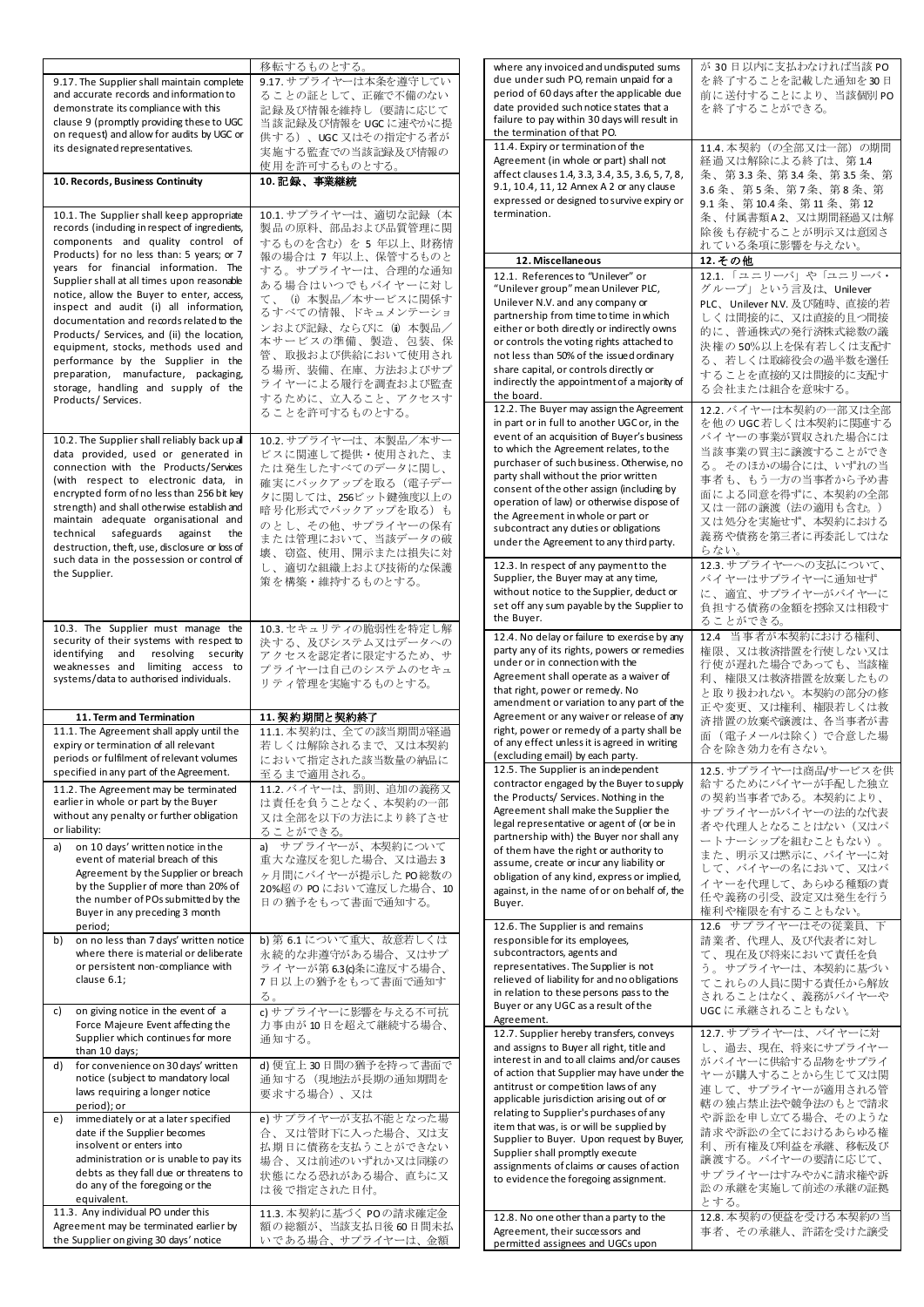| 9.17. The Supplier shall maintain complete                                            | 移転するものとする。<br>9.17. サプライヤーは本条を遵守してい         | where any invoiced and undisputed sums<br>due under such PO, remain unpaid for a         | が 30日以内に支払わなければ当該 PO<br>を終了することを記載した通知を30日     |
|---------------------------------------------------------------------------------------|---------------------------------------------|------------------------------------------------------------------------------------------|------------------------------------------------|
| and accurate records and information to                                               | ることの証として、正確で不備のない                           | period of 60 days after the applicable due                                               | 前に送付することにより、当該個別PO                             |
| demonstrate its compliance with this                                                  | 記録及び情報を維持し(要請に応じて                           | date provided such notice states that a                                                  | を終了することができる。                                   |
| clause 9 (promptly providing these to UGC                                             | 当該記録及び情報を UGC に速やかに提                        | failure to pay within 30 days will result in<br>the termination of that PO.              |                                                |
| on request) and allow for audits by UGC or<br>its designated representatives.         | 供する)、UGC 又はその指定する者が                         | 11.4. Expiry or termination of the                                                       | 11.4. 本契約 (の全部又は一部)の期間                         |
|                                                                                       | 実施する監査での当該記録及び情報の<br>使用を許可するものとする。          | Agreement (in whole or part) shall not                                                   | 経過又は解除による終了は、第14                               |
| 10. Records, Business Continuity                                                      | 10. 記録、事業継続                                 | affect clauses 1.4, 3.3, 3.4, 3.5, 3.6, 5, 7, 8,                                         | 条、第3.3条、第3.4条、第3.5条、第                          |
|                                                                                       |                                             | 9.1, 10.4, 11, 12 Annex A 2 or any clause<br>expressed or designed to survive expiry or  | 3.6 条、第5条、第7条、第8条、第<br>9.1 条、第10.4 条、第11 条、第12 |
| 10.1. The Supplier shall keep appropriate                                             | 10.1. サプライヤーは、適切な記録(本                       | termination.                                                                             | 条、付属書類A2、又は期間経過又は解                             |
| records (including in respect of ingredients,                                         | 製品の原料、部品および品質管理に関                           |                                                                                          | 除後 も存続することが明示又は意図さ                             |
| components and quality control of<br>Products) for no less than: 5 years; or 7        | するものを含む)を5年以上、財務情                           |                                                                                          | れている条項に影響を与えない。                                |
| years for financial information. The                                                  | 報の場合は 7 年以上、保管するものと<br>する。サプライヤーは、合理的な通知    | 12. Miscellaneous                                                                        | 12.その他                                         |
| Supplier shall at all times upon reasonable                                           | ある場合はいつでもバイヤーに対し                            | 12.1. References to "Unilever" or<br>"Unilever group" mean Unilever PLC,                 | 12.1. 「ユニリーバ」や「ユニリーバ・<br>グループ」という言及は、Unilever  |
| notice, allow the Buyer to enter, access,<br>inspect and audit (i) all information,   | て、(i)本製品/本サービスに関係す                          | Unilever N.V. and any company or                                                         | PLC、Unilever N.V. 及び随時、直接的若                    |
| documentation and records related to the                                              | るすべての情報、ドキュメンテーショ                           | partnership from time to time in which                                                   | しくは間接的に、又は直接的且つ間接                              |
| Products/ Services, and (ii) the location,                                            | ンおよび記録、ならびに(m)本製品/<br>本サービスの準備、製造、包装、保      | either or both directly or indirectly owns<br>or controls the voting rights attached to  | 的に、普通株式の発行済株式総数の議                              |
| equipment, stocks, methods used and                                                   | 管、取扱および供給において使用され                           | not less than 50% of the issued ordinary                                                 | 決権の50%以上を保有若しくは支配す<br>る、若しくは取締役会の過半数を選任        |
| performance by the Supplier in the<br>preparation, manufacture, packaging,            | る場所、装備、在庫、方法およびサプ                           | share capital, or controls directly or                                                   | することを直接的又は間接的に支配す                              |
| storage, handling and supply of the                                                   | ライヤーによる履行を調査および監査                           | indirectly the appointment of a majority of                                              | る会社または組合を意味する。                                 |
| Products/ Services.                                                                   | するために、立入ること、アクセスす<br>ることを許可するものとする。         | the board.<br>12.2. The Buyer may assign the Agreement                                   | 12.2. バイヤーは本契約の一部又は全部                          |
|                                                                                       |                                             | in part or in full to another UGC or, in the                                             | を他のUGC若しくは本契約に関連する                             |
| 10.2. The Supplier shall reliably back up all                                         | 10.2. サプライヤーは、本製品/本サー                       | event of an acquisition of Buyer's business                                              | バイヤーの事業が買収された場合には                              |
| data provided, used or generated in                                                   | ビスに関連して提供・使用された、ま                           | to which the Agreement relates, to the<br>purchaser of such business. Otherwise, no      | 当該事業の買主に譲渡することができ<br>る。そのほかの場合には、いずれの当         |
| connection with the Products/Services<br>(with respect to electronic data, in         | たは発生したすべてのデータに関し、<br>確実にバックアップを取る(電子デー      | party shall without the prior written                                                    | 事者も、もう一方の当事者から予め書                              |
| encrypted form of no less than 256 bit key                                            | タに関しては、256ビット鍵強度以上の                         | consent of the other assign (including by                                                | 面による同意を得ずに、本契約の全部                              |
| strength) and shall otherwise establish and                                           | 暗号化形式でバックアップを取る)も                           | operation of law) or otherwise dispose of<br>the Agreement in whole or part or           | 又は一部の譲渡(法の適用も含む。)                              |
| maintain adequate organisational and<br>technical safeguards against<br>the           | のとし、その他、サプライヤーの保有                           | subcontract any duties or obligations                                                    | 又は処分を実施せず、本契約における<br>義務や債務を第三者に再委託してはな         |
| destruction, theft, use, disclosure or loss of                                        | または管理において、当該データの破<br>壊、窃盗、使用、開示または損失に対      | under the Agreement to any third party.                                                  | らない。                                           |
| such data in the possession or control of<br>the Supplier.                            | し、適切な組織上および技術的な保護                           | 12.3. In respect of any payment to the                                                   | 12.3. サプライヤーへの支払について、                          |
|                                                                                       | 策を構築・維持するものとする。                             | Supplier, the Buyer may at any time,                                                     | バイヤーはサプライヤーに通知せず                               |
|                                                                                       |                                             | without notice to the Supplier, deduct or<br>set off any sum payable by the Supplier to  | に、適宜、サプライヤーがバイヤーに<br>負担する債務の金額を控除又は相殺す         |
| 10.3. The Supplier must manage the                                                    | 10.3. セキュリティの脆弱性を特定し解                       | the Buyer.                                                                               | ることができる。                                       |
| security of their systems with respect to                                             | 決する、及びシステム又はデータへの                           | 12.4. No delay or failure to exercise by any                                             | 12.4 当事者が本契約における権利、                            |
|                                                                                       |                                             | party any of its rights, powers or remedies                                              | 権限、又は救済措置を行使しない又は                              |
| identifying and resolving security                                                    | アクセスを認定者に限定するため、サ                           |                                                                                          |                                                |
| weaknesses and limiting access to                                                     | プライヤーは自己のシステムのセキュ                           | under or in connection with the<br>Agreement shall operate as a waiver of                | 行使が遅れた場合であっても、当該権                              |
| systems/data to authorised individuals.                                               | リティ管理を実施するものとする。                            | that right, power or remedy. No                                                          | 利、権限又は救済措置を放棄したもの<br>と取り扱われない。本契約の部分の修         |
|                                                                                       |                                             | amendment or variation to any part of the                                                | 正や変更、又は権利、権限若しくは救                              |
| 11. Term and Termination<br>11.1. The Agreement shall apply until the                 | 11. 契約期間と契約終了<br>11.1. 本契約は、全ての該当期間が経過      | Agreement or any waiver or release of any<br>right, power or remedy of a party shall be  | 済措置の放棄や譲渡は、各当事者が書                              |
| expiry or termination of all relevant                                                 | 若しくは解除されるまで、又は本契約                           | of any effect unless it is agreed in writing                                             | 面 (電子メールは除く) で合意した場<br>合を除き効力を有さない。            |
| periods or fulfilment of relevant volumes                                             | において指定された該当数量の納品に                           | (excluding email) by each party.<br>12.5. The Supplier is an independent                 | 12.5. サプライヤーは商品/サービスを供                         |
| specified in any part of the Agreement.<br>11.2. The Agreement may be terminated      | 至るまで適用される。<br>11.2. バイヤーは、罰則、追加の義務又         | contractor engaged by the Buyer to supply                                                | 給するためにバイヤーが手配した独立                              |
| earlier in whole or part by the Buyer                                                 | は責任を負うことなく、本契約の一部                           | the Products/ Services. Nothing in the                                                   | の契約当事者である。本契約により、                              |
| without any penalty or further obligation                                             | 又は全部を以下の方法により終了させ                           | Agreement shall make the Supplier the<br>legal representative or agent of (or be in      | サプライヤーがバイヤーの法的な代表<br>者や代理人となることはない(又はパ         |
| or liability:                                                                         | ることができる。                                    | partnership with) the Buyer nor shall any                                                | ートナーシップを組むこともない)。                              |
| on 10 days' written notice in the<br>a)<br>event of material breach of this           | a) サプライヤーが、本契約について<br>重大な違反を犯した場合、又は過去3     | of them have the right or authority to<br>assume, create or incur any liability or       | また、明示又は黙示に、バイヤーに対                              |
| Agreement by the Supplier or breach                                                   | ヶ月間にバイヤーが提示した PO総数の                         | obligation of any kind, express or implied,                                              | して、バイヤーの名において、又はバ                              |
| by the Supplier of more than 20% of<br>the number of POs submitted by the             | 20%超の POにおいて違反した場合、10                       | against, in the name of or on behalf of, the                                             | イヤーを代理して、あらゆる種類の責<br>任や義務の引受、設定又は発生を行う         |
| Buyer in any preceding 3 month                                                        | 日の猶予をもって書面で通知する。                            | Buyer.                                                                                   | 権利や権限を有することもない。                                |
| period;                                                                               |                                             | 12.6. The Supplier is and remains                                                        | 12.6 サプライヤーはその従業員、下                            |
| on no less than 7 days' written notice<br>b)<br>where there is material or deliberate | b) 第 6.1 について重大、故意若しくは<br>永続的な非遵守がある場合、又はサプ | responsible for its employees,<br>subcontractors, agents and                             | 請業者、代理人、及び代表者に対し<br>て、現在及び将来において責任を負           |
| or persistent non-compliance with                                                     | ライヤーが第 6.3(c)条に違反する場合、                      | representatives. The Supplier is not                                                     | う。サプライヤーは、本契約に基づい                              |
| clause 6.1;                                                                           | 7日以上の猶予をもって書面で通知す                           | relieved of liability for and no obligations<br>in relation to these persons pass to the | てこれらの人員に関する責任から解放                              |
| on giving notice in the event of a<br>C)                                              | る。<br>c) サプライヤーに影響を与える不可抗                   | Buyer or any UGC as a result of the                                                      | されることはなく、義務がバイヤーや<br>UGCに承継されることもない。           |
| Force Majeure Event affecting the                                                     | 力事由が10日を超えて継続する場合、                          | Agreement.                                                                               |                                                |
| Supplier which continues for more                                                     | 通知する。                                       | 12.7. Supplier hereby transfers, conveys<br>and assigns to Buyer all right, title and    | 12.7. サプライヤーは、バイヤーに対<br>し、過去、現在、将来にサプライヤー      |
| than 10 days;<br>for convenience on 30 days' written<br>d)                            | d) 便宜上30日間の猶予を持って書面で                        | interest in and to all claims and/or causes                                              | がバイヤーに供給する品物をサプライ                              |
| notice (subject to mandatory local                                                    | 通知する(現地法が長期の通知期間を                           | of action that Supplier may have under the<br>antitrust or competition laws of any       | ヤーが購入することから生じて又は関                              |
| laws requiring a longer notice<br>period); or                                         | 要求する場合)、又は                                  | applicable jurisdiction arising out of or                                                | 連して、サプライヤーが適用される管<br>轄の独占禁止法や競争法のもとで請求         |
| immediately or at a later specified<br>e)                                             | e) サプライヤーが支払不能となった場                         | relating to Supplier's purchases of any                                                  | や訴訟を申し立てる場合、そのような                              |
| date if the Supplier becomes                                                          | 合、又は管財下に入った場合、又は支                           | item that was, is or will be supplied by<br>Supplier to Buyer. Upon request by Buyer,    | 請求や訴訟の全てにおけるあらゆる権                              |
| insolvent or enters into<br>administration or is unable to pay its                    | 払期日に債務を支払うことができない<br>場合、又は前述のいずれか又は同様の      | Supplier shall promptly execute                                                          | 利、所有権及び利益を承継、移転及び<br>譲渡する。 バイヤーの要請に応じて、        |
| debts as they fall due or threatens to                                                | 状態になる恐れがある場合、直ちに又                           | assignments of claims or causes of action<br>to evidence the foregoing assignment.       | サプライヤーはすみやかに請求権や訴                              |
| do any of the foregoing or the<br>equivalent.                                         | は後で指定された日付。                                 |                                                                                          | 訟の承継を実施して前述の承継の証拠                              |
| 11.3. Any individual PO under this                                                    | 11.3. 本契約に基づく POの請求確定金                      | 12.8. No one other than a party to the                                                   | とする。<br>12.8. 本契約の便益を受ける本契約の当                  |
| Agreement may be terminated earlier by<br>the Supplier on giving 30 days' notice      | 額の総額が、当該支払日後60日間未払<br>いである場合、サプライヤーは、金額     | Agreement, their successors and<br>permitted assignees and UGCs upon                     | 事者、その承継人、許諾を受けた譲受                              |